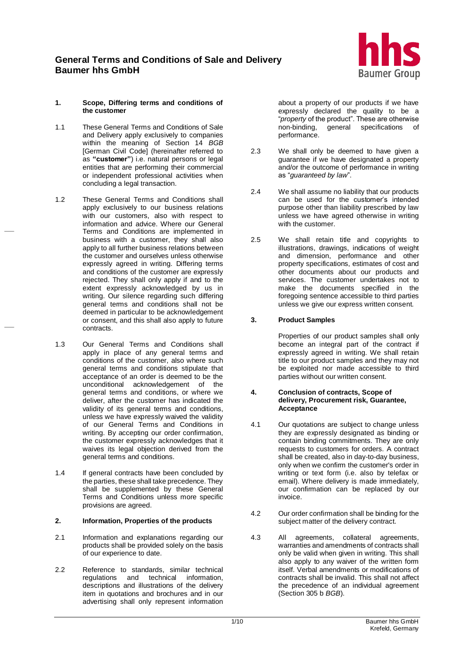

#### **1. Scope, Differing terms and conditions of the customer**

- 1.1 These General Terms and Conditions of Sale and Delivery apply exclusively to companies within the meaning of Section 14 *BGB* [German Civil Code] (hereinafter referred to as **"customer"**) i.e. natural persons or legal entities that are performing their commercial or independent professional activities when concluding a legal transaction.
- 1.2 These General Terms and Conditions shall apply exclusively to our business relations with our customers, also with respect to information and advice. Where our General Terms and Conditions are implemented in business with a customer, they shall also apply to all further business relations between the customer and ourselves unless otherwise expressly agreed in writing. Differing terms and conditions of the customer are expressly rejected. They shall only apply if and to the extent expressly acknowledged by us in writing. Our silence regarding such differing general terms and conditions shall not be deemed in particular to be acknowledgement or consent, and this shall also apply to future contracts.
- 1.3 Our General Terms and Conditions shall apply in place of any general terms and conditions of the customer, also where such general terms and conditions stipulate that acceptance of an order is deemed to be the unconditional acknowledgement of the general terms and conditions, or where we deliver, after the customer has indicated the validity of its general terms and conditions, unless we have expressly waived the validity of our General Terms and Conditions in writing. By accepting our order confirmation, the customer expressly acknowledges that it waives its legal objection derived from the general terms and conditions.
- 1.4 If general contracts have been concluded by the parties, these shall take precedence. They shall be supplemented by these General Terms and Conditions unless more specific provisions are agreed.

#### **2. Information, Properties of the products**

- 2.1 Information and explanations regarding our products shall be provided solely on the basis of our experience to date.
- 2.2 Reference to standards, similar technical regulations and technical information, descriptions and illustrations of the delivery item in quotations and brochures and in our advertising shall only represent information

about a property of our products if we have expressly declared the quality to be a "*property* of the product". These are otherwise general specifications of performance.

- 2.3 We shall only be deemed to have given a guarantee if we have designated a property and/or the outcome of performance in writing as "*guaranteed by law*".
- 2.4 We shall assume no liability that our products can be used for the customer's intended purpose other than liability prescribed by law unless we have agreed otherwise in writing with the customer.
- 2.5 We shall retain title and copyrights to illustrations, drawings, indications of weight and dimension, performance and other property specifications, estimates of cost and other documents about our products and services. The customer undertakes not to make the documents specified in the foregoing sentence accessible to third parties unless we give our express written consent.

### **3. Product Samples**

Properties of our product samples shall only become an integral part of the contract if expressly agreed in writing. We shall retain title to our product samples and they may not be exploited nor made accessible to third parties without our written consent.

#### **4. Conclusion of contracts, Scope of delivery, Procurement risk, Guarantee, Acceptance**

- 4.1 Our quotations are subject to change unless they are expressly designated as binding or contain binding commitments. They are only requests to customers for orders. A contract shall be created, also in day-to-day business, only when we confirm the customer's order in writing or text form (i.e. also by telefax or email). Where delivery is made immediately, our confirmation can be replaced by our invoice.
- 4.2 Our order confirmation shall be binding for the subject matter of the delivery contract.
- 4.3 All agreements, collateral agreements, warranties and amendments of contracts shall only be valid when given in writing. This shall also apply to any waiver of the written form itself. Verbal amendments or modifications of contracts shall be invalid. This shall not affect the precedence of an individual agreement (Section 305 b *BGB*).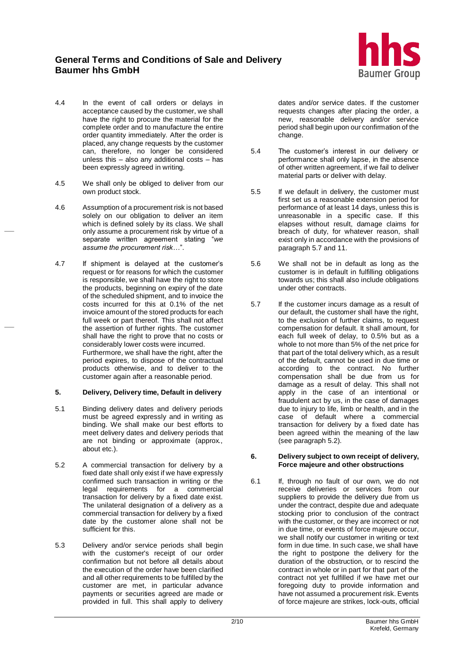

- 4.4 In the event of call orders or delays in acceptance caused by the customer, we shall have the right to procure the material for the complete order and to manufacture the entire order quantity immediately. After the order is placed, any change requests by the customer can, therefore, no longer be considered unless this – also any additional costs – has been expressly agreed in writing.
- 4.5 We shall only be obliged to deliver from our own product stock.
- 4.6 Assumption of a procurement risk is not based solely on our obligation to deliver an item which is defined solely by its class. We shall only assume a procurement risk by virtue of a separate written agreement stating "*we assume the procurement risk…*".
- 4.7 If shipment is delayed at the customer's request or for reasons for which the customer is responsible, we shall have the right to store the products, beginning on expiry of the date of the scheduled shipment, and to invoice the costs incurred for this at 0.1% of the net invoice amount of the stored products for each full week or part thereof. This shall not affect the assertion of further rights. The customer shall have the right to prove that no costs or considerably lower costs were incurred. Furthermore, we shall have the right, after the period expires, to dispose of the contractual products otherwise, and to deliver to the customer again after a reasonable period.

### **5. Delivery, Delivery time, Default in delivery**

- 5.1 Binding delivery dates and delivery periods must be agreed expressly and in writing as binding. We shall make our best efforts to meet delivery dates and delivery periods that are not binding or approximate (approx., about etc.).
- 5.2 A commercial transaction for delivery by a fixed date shall only exist if we have expressly confirmed such transaction in writing or the legal requirements for a commercial transaction for delivery by a fixed date exist. The unilateral designation of a delivery as a commercial transaction for delivery by a fixed date by the customer alone shall not be sufficient for this.
- 5.3 Delivery and/or service periods shall begin with the customer's receipt of our order confirmation but not before all details about the execution of the order have been clarified and all other requirements to be fulfilled by the customer are met, in particular advance payments or securities agreed are made or provided in full. This shall apply to delivery

dates and/or service dates. If the customer requests changes after placing the order, a new, reasonable delivery and/or service period shall begin upon our confirmation of the change.

- 5.4 The customer's interest in our delivery or performance shall only lapse, in the absence of other written agreement, if we fail to deliver material parts or deliver with delay.
- 5.5 If we default in delivery, the customer must first set us a reasonable extension period for performance of at least 14 days, unless this is unreasonable in a specific case. If this elapses without result, damage claims for breach of duty, for whatever reason, shall exist only in accordance with the provisions of paragraph 5.7 and 11.
- 5.6 We shall not be in default as long as the customer is in default in fulfilling obligations towards us; this shall also include obligations under other contracts.
- 5.7 If the customer incurs damage as a result of our default, the customer shall have the right. to the exclusion of further claims, to request compensation for default. It shall amount, for each full week of delay, to 0.5% but as a whole to not more than 5% of the net price for that part of the total delivery which, as a result of the default, cannot be used in due time or according to the contract. No further compensation shall be due from us for damage as a result of delay. This shall not apply in the case of an intentional or fraudulent act by us, in the case of damages due to injury to life, limb or health, and in the case of default where a commercial transaction for delivery by a fixed date has been agreed within the meaning of the law (see paragraph 5.2).

### **6. Delivery subject to own receipt of delivery, Force majeure and other obstructions**

6.1 If, through no fault of our own, we do not receive deliveries or services from our suppliers to provide the delivery due from us under the contract, despite due and adequate stocking prior to conclusion of the contract with the customer, or they are incorrect or not in due time, or events of force majeure occur, we shall notify our customer in writing or text form in due time. In such case, we shall have the right to postpone the delivery for the duration of the obstruction, or to rescind the contract in whole or in part for that part of the contract not yet fulfilled if we have met our foregoing duty to provide information and have not assumed a procurement risk. Events of force majeure are strikes, lock-outs, official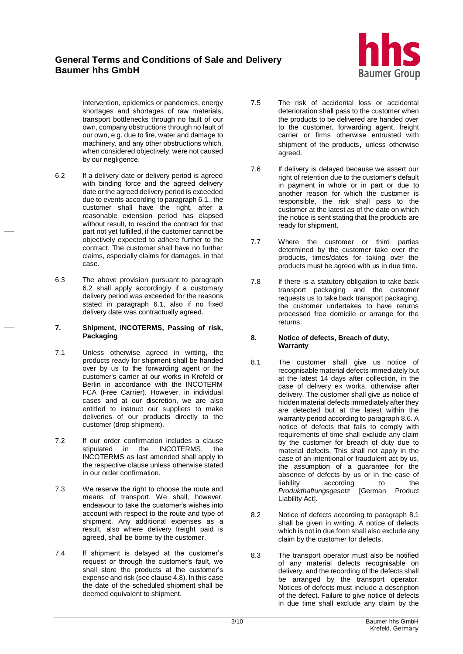

intervention, epidemics or pandemics, energy shortages and shortages of raw materials, transport bottlenecks through no fault of our own, company obstructions through no fault of our own, e.g. due to fire, water and damage to machinery, and any other obstructions which, when considered objectively, were not caused by our negligence.

- 6.2 If a delivery date or delivery period is agreed with binding force and the agreed delivery date or the agreed delivery period is exceeded due to events according to paragraph 6.1., the customer shall have the right, after a reasonable extension period has elapsed without result, to rescind the contract for that part not yet fulfilled, if the customer cannot be objectively expected to adhere further to the contract. The customer shall have no further claims, especially claims for damages, in that case.
- 6.3 The above provision pursuant to paragraph 6.2 shall apply accordingly if a customary delivery period was exceeded for the reasons stated in paragraph 6.1, also if no fixed delivery date was contractually agreed.

### **7. Shipment, INCOTERMS, Passing of risk, Packaging**

- 7.1 Unless otherwise agreed in writing, the products ready for shipment shall be handed over by us to the forwarding agent or the customer's carrier at our works in Krefeld or Berlin in accordance with the INCOTERM FCA (Free Carrier). However, in individual cases and at our discretion, we are also entitled to instruct our suppliers to make deliveries of our products directly to the customer (drop shipment).
- 7.2 If our order confirmation includes a clause stipulated in the INCOTERMS, the INCOTERMS as last amended shall apply to the respective clause unless otherwise stated in our order confirmation.
- 7.3 We reserve the right to choose the route and means of transport. We shall, however, endeavour to take the customer's wishes into account with respect to the route and type of shipment. Any additional expenses as a result, also where delivery freight paid is agreed, shall be borne by the customer.
- 7.4 If shipment is delayed at the customer's request or through the customer's fault, we shall store the products at the customer's expense and risk (see clause 4.8). In this case the date of the scheduled shipment shall be deemed equivalent to shipment.
- 7.5 The risk of accidental loss or accidental deterioration shall pass to the customer when the products to be delivered are handed over to the customer, forwarding agent, freight carrier or firms otherwise entrusted with shipment of the products, unless otherwise agreed.
- 7.6 If delivery is delayed because we assert our right of retention due to the customer's default in payment in whole or in part or due to another reason for which the customer is responsible, the risk shall pass to the customer at the latest as of the date on which the notice is sent stating that the products are ready for shipment.
- 7.7 Where the customer or third parties determined by the customer take over the products, times/dates for taking over the products must be agreed with us in due time.
- 7.8 If there is a statutory obligation to take back transport packaging and the customer requests us to take back transport packaging, the customer undertakes to have returns processed free domicile or arrange for the returns.

### **8. Notice of defects, Breach of duty, Warranty**

- 8.1 The customer shall give us notice of recognisable material defects immediately but at the latest 14 days after collection, in the case of delivery ex works, otherwise after delivery. The customer shall give us notice of hidden material defects immediately after they are detected but at the latest within the warranty period according to paragraph 8.6. A notice of defects that fails to comply with requirements of time shall exclude any claim by the customer for breach of duty due to material defects. This shall not apply in the case of an intentional or fraudulent act by us, the assumption of a guarantee for the absence of defects by us or in the case of<br>liability according to the according *Produkthaftungsgesetz* [German Product Liability Act].
- 8.2 Notice of defects according to paragraph 8.1 shall be given in writing. A notice of defects which is not in due form shall also exclude any claim by the customer for defects.
- 8.3 The transport operator must also be notified of any material defects recognisable on delivery, and the recording of the defects shall be arranged by the transport operator. Notices of defects must include a description of the defect. Failure to give notice of defects in due time shall exclude any claim by the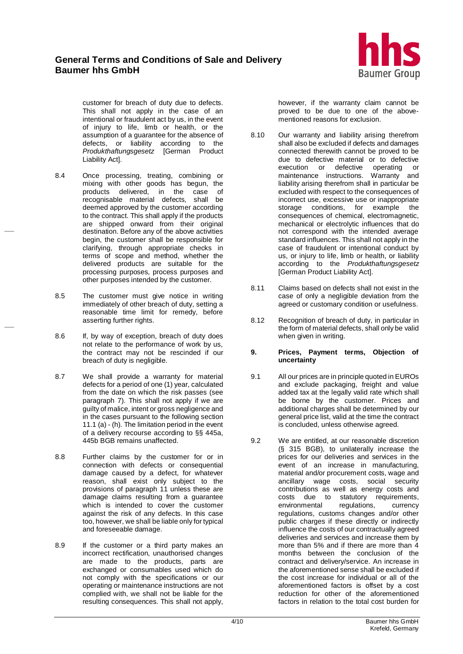

customer for breach of duty due to defects. This shall not apply in the case of an intentional or fraudulent act by us, in the event of injury to life, limb or health, or the assumption of a guarantee for the absence of defects, or liability according to the *Produkthaftungsgesetz* [German Product Liability Act].

- 8.4 Once processing, treating, combining or mixing with other goods has begun, the products delivered, in the case of recognisable material defects, shall be deemed approved by the customer according to the contract. This shall apply if the products are shipped onward from their original destination. Before any of the above activities begin, the customer shall be responsible for clarifying, through appropriate checks in terms of scope and method, whether the delivered products are suitable for the processing purposes, process purposes and other purposes intended by the customer.
- 8.5 The customer must give notice in writing immediately of other breach of duty, setting a reasonable time limit for remedy, before asserting further rights.
- 8.6 If, by way of exception, breach of duty does not relate to the performance of work by us, the contract may not be rescinded if our breach of duty is negligible.
- 8.7 We shall provide a warranty for material defects for a period of one (1) year, calculated from the date on which the risk passes (see paragraph 7). This shall not apply if we are guilty of malice, intent or gross negligence and in the cases pursuant to the following section 11.1 (a) - (h). The limitation period in the event of a delivery recourse according to §§ 445a, 445b BGB remains unaffected.
- 8.8 Further claims by the customer for or in connection with defects or consequential damage caused by a defect, for whatever reason, shall exist only subject to the provisions of paragraph 11 unless these are damage claims resulting from a guarantee which is intended to cover the customer against the risk of any defects. In this case too, however, we shall be liable only for typical and foreseeable damage.
- 8.9 If the customer or a third party makes an incorrect rectification, unauthorised changes are made to the products, parts are exchanged or consumables used which do not comply with the specifications or our operating or maintenance instructions are not complied with, we shall not be liable for the resulting consequences. This shall not apply,

however, if the warranty claim cannot be proved to be due to one of the abovementioned reasons for exclusion.

- 8.10 Our warranty and liability arising therefrom shall also be excluded if defects and damages connected therewith cannot be proved to be due to defective material or to defective execution or defective operating or maintenance instructions. Warranty and liability arising therefrom shall in particular be excluded with respect to the consequences of incorrect use, excessive use or inappropriate storage conditions, for example the consequences of chemical, electromagnetic, mechanical or electrolytic influences that do not correspond with the intended average standard influences. This shall not apply in the case of fraudulent or intentional conduct by us, or injury to life, limb or health, or liability according to the *Produkthaftungsgesetz*  [German Product Liability Act].
- 8.11 Claims based on defects shall not exist in the case of only a negligible deviation from the agreed or customary condition or usefulness.
- 8.12 Recognition of breach of duty, in particular in the form of material defects, shall only be valid when given in writing.

### **9. Prices, Payment terms, Objection of uncertainty**

- 9.1 All our prices are in principle quoted in EUROs and exclude packaging, freight and value added tax at the legally valid rate which shall be borne by the customer. Prices and additional charges shall be determined by our general price list, valid at the time the contract is concluded, unless otherwise agreed.
- 9.2 We are entitled, at our reasonable discretion (§ 315 BGB), to unilaterally increase the prices for our deliveries and services in the event of an increase in manufacturing, material and/or procurement costs, wage and ancillary wage costs, social security contributions as well as energy costs and costs due to statutory requirements,<br>environmental regulations, currency environmental regulations, currency regulations, customs changes and/or other public charges if these directly or indirectly influence the costs of our contractually agreed deliveries and services and increase them by more than 5% and if there are more than 4 months between the conclusion of the contract and delivery/service. An increase in the aforementioned sense shall be excluded if the cost increase for individual or all of the aforementioned factors is offset by a cost reduction for other of the aforementioned factors in relation to the total cost burden for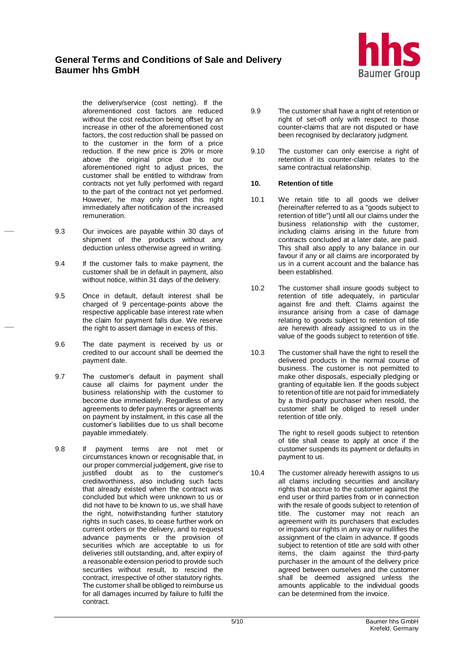

the delivery/service (cost netting). If the aforementioned cost factors are reduced without the cost reduction being offset by an increase in other of the aforementioned cost factors, the cost reduction shall be passed on to the customer in the form of a price reduction. If the new price is 20% or more above the original price due to our aforementioned right to adjust prices, the customer shall be entitled to withdraw from contracts not yet fully performed with regard to the part of the contract not yet performed. However, he may only assert this right immediately after notification of the increased remuneration.

- 9.3 Our invoices are payable within 30 days of shipment of the products without any deduction unless otherwise agreed in writing.
- 9.4 If the customer fails to make payment, the customer shall be in default in payment, also without notice, within 31 days of the delivery.
- 9.5 Once in default, default interest shall be charged of 9 percentage-points above the respective applicable base interest rate when the claim for payment falls due. We reserve the right to assert damage in excess of this.
- 9.6 The date payment is received by us or credited to our account shall be deemed the payment date.
- 9.7 The customer's default in payment shall cause all claims for payment under the business relationship with the customer to become due immediately. Regardless of any agreements to defer payments or agreements on payment by instalment, in this case all the customer's liabilities due to us shall become payable immediately.
- 9.8 If payment terms are not met or circumstances known or recognisable that, in our proper commercial judgement, give rise to justified doubt as to the customer's creditworthiness, also including such facts that already existed when the contract was concluded but which were unknown to us or did not have to be known to us, we shall have the right, notwithstanding further statutory rights in such cases, to cease further work on current orders or the delivery, and to request advance payments or the provision of securities which are acceptable to us for deliveries still outstanding, and, after expiry of a reasonable extension period to provide such securities without result, to rescind the contract, irrespective of other statutory rights. The customer shall be obliged to reimburse us for all damages incurred by failure to fulfil the contract.
- 9.9 The customer shall have a right of retention or right of set-off only with respect to those counter-claims that are not disputed or have been recognised by declaratory judgment.
- 9.10 The customer can only exercise a right of retention if its counter-claim relates to the same contractual relationship.

### **10. Retention of title**

- 10.1 We retain title to all goods we deliver (hereinafter referred to as a "goods subject to retention of title") until all our claims under the business relationship with the customer, including claims arising in the future from contracts concluded at a later date, are paid. This shall also apply to any balance in our favour if any or all claims are incorporated by us in a current account and the balance has been established.
- 10.2 The customer shall insure goods subject to retention of title adequately, in particular against fire and theft. Claims against the insurance arising from a case of damage relating to goods subject to retention of title are herewith already assigned to us in the value of the goods subject to retention of title.
- 10.3 The customer shall have the right to resell the delivered products in the normal course of business. The customer is not permitted to make other disposals, especially pledging or granting of equitable lien. If the goods subject to retention of title are not paid for immediately by a third-party purchaser when resold, the customer shall be obliged to resell under retention of title only.

The right to resell goods subject to retention of title shall cease to apply at once if the customer suspends its payment or defaults in payment to us.

10.4 The customer already herewith assigns to us all claims including securities and ancillary rights that accrue to the customer against the end user or third parties from or in connection with the resale of goods subject to retention of title. The customer may not reach an agreement with its purchasers that excludes or impairs our rights in any way or nullifies the assignment of the claim in advance. If goods subject to retention of title are sold with other items, the claim against the third-party purchaser in the amount of the delivery price agreed between ourselves and the customer shall be deemed assigned unless the amounts applicable to the individual goods can be determined from the invoice.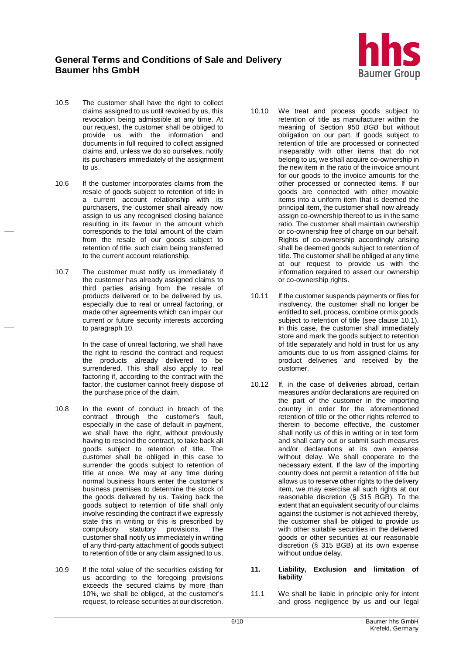

- 10.5 The customer shall have the right to collect claims assigned to us until revoked by us, this revocation being admissible at any time. At our request, the customer shall be obliged to provide us with the information and documents in full required to collect assigned claims and, unless we do so ourselves, notify its purchasers immediately of the assignment to us.
- 10.6 If the customer incorporates claims from the resale of goods subject to retention of title in a current account relationship with its purchasers, the customer shall already now assign to us any recognised closing balance resulting in its favour in the amount which corresponds to the total amount of the claim from the resale of our goods subject to retention of title, such claim being transferred to the current account relationship.
- 10.7 The customer must notify us immediately if the customer has already assigned claims to third parties arising from the resale of products delivered or to be delivered by us, especially due to real or unreal factoring, or made other agreements which can impair our current or future security interests according to paragraph 10.

In the case of unreal factoring, we shall have the right to rescind the contract and request the products already delivered to be surrendered. This shall also apply to real factoring if, according to the contract with the factor, the customer cannot freely dispose of the purchase price of the claim.

- 10.8 In the event of conduct in breach of the contract through the customer's fault, especially in the case of default in payment, we shall have the right, without previously having to rescind the contract, to take back all goods subject to retention of title. The customer shall be obliged in this case to surrender the goods subject to retention of title at once. We may at any time during normal business hours enter the customer's business premises to determine the stock of the goods delivered by us. Taking back the goods subject to retention of title shall only involve rescinding the contract if we expressly state this in writing or this is prescribed by compulsory statutory provisions. The customer shall notify us immediately in writing of any third-party attachment of goods subject to retention of title or any claim assigned to us.
- 10.9 If the total value of the securities existing for us according to the foregoing provisions exceeds the secured claims by more than 10%, we shall be obliged, at the customer's request, to release securities at our discretion.
- 10.10 We treat and process goods subject to retention of title as manufacturer within the meaning of Section 950 *BGB* but without obligation on our part. If goods subject to retention of title are processed or connected inseparably with other items that do not belong to us, we shall acquire co-ownership in the new item in the ratio of the invoice amount for our goods to the invoice amounts for the other processed or connected items. If our goods are connected with other movable items into a uniform item that is deemed the principal item, the customer shall now already assign co-ownership thereof to us in the same ratio. The customer shall maintain ownership or co-ownership free of charge on our behalf. Rights of co-ownership accordingly arising shall be deemed goods subject to retention of title. The customer shall be obliged at any time at our request to provide us with the information required to assert our ownership or co-ownership rights.
- 10.11 If the customer suspends payments or files for insolvency, the customer shall no longer be entitled to sell, process, combine or mix goods subject to retention of title (see clause 10.1). In this case, the customer shall immediately store and mark the goods subject to retention of title separately and hold in trust for us any amounts due to us from assigned claims for product deliveries and received by the customer.
- 10.12 If, in the case of deliveries abroad, certain measures and/or declarations are required on the part of the customer in the importing country in order for the aforementioned retention of title or the other rights referred to therein to become effective, the customer shall notify us of this in writing or in text form and shall carry out or submit such measures and/or declarations at its own expense without delay. We shall cooperate to the necessary extent. If the law of the importing country does not permit a retention of title but allows us to reserve other rights to the delivery item, we may exercise all such rights at our reasonable discretion (§ 315 BGB). To the extent that an equivalent security of our claims against the customer is not achieved thereby, the customer shall be obliged to provide us with other suitable securities in the delivered goods or other securities at our reasonable discretion (§ 315 BGB) at its own expense without undue delay.

#### **11. Liability, Exclusion and limitation of liability**

11.1 We shall be liable in principle only for intent and gross negligence by us and our legal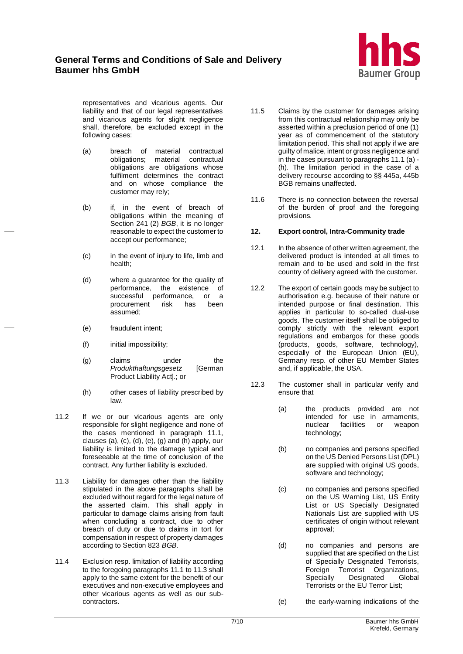

representatives and vicarious agents. Our liability and that of our legal representatives and vicarious agents for slight negligence shall, therefore, be excluded except in the following cases:

- (a) breach of material contractual obligations: material obligations are obligations whose fulfilment determines the contract and on whose compliance the customer may rely;
- (b) if, in the event of breach of obligations within the meaning of Section 241 (2) *BGB*, it is no longer reasonable to expect the customer to accept our performance;
- (c) in the event of injury to life, limb and health;
- (d) where a guarantee for the quality of performance, the existence of successful performance, or a successful performance, or a<br>procurement risk has been assumed;
- (e) fraudulent intent;
- (f) initial impossibility;
- (g) claims under the *Produkthaftungsgesetz* [German Product Liability Act].; or
- (h) other cases of liability prescribed by law.
- 11.2 If we or our vicarious agents are only responsible for slight negligence and none of the cases mentioned in paragraph 11.1, clauses (a), (c), (d), (e), (g) and (h) apply, our liability is limited to the damage typical and foreseeable at the time of conclusion of the contract. Any further liability is excluded.
- 11.3 Liability for damages other than the liability stipulated in the above paragraphs shall be excluded without regard for the legal nature of the asserted claim. This shall apply in particular to damage claims arising from fault when concluding a contract, due to other breach of duty or due to claims in tort for compensation in respect of property damages according to Section 823 *BGB*.
- 11.4 Exclusion resp. limitation of liability according to the foregoing paragraphs 11.1 to 11.3 shall apply to the same extent for the benefit of our executives and non-executive employees and other vicarious agents as well as our subcontractors.
- 11.5 Claims by the customer for damages arising from this contractual relationship may only be asserted within a preclusion period of one (1) year as of commencement of the statutory limitation period. This shall not apply if we are guilty of malice, intent or gross negligence and in the cases pursuant to paragraphs 11.1 (a) - (h). The limitation period in the case of a delivery recourse according to §§ 445a, 445b BGB remains unaffected.
- 11.6 There is no connection between the reversal of the burden of proof and the foregoing provisions.

### **12. Export control, Intra-Community trade**

- 12.1 In the absence of other written agreement, the delivered product is intended at all times to remain and to be used and sold in the first country of delivery agreed with the customer.
- 12.2 The export of certain goods may be subject to authorisation e.g. because of their nature or intended purpose or final destination. This applies in particular to so-called dual-use goods. The customer itself shall be obliged to comply strictly with the relevant export regulations and embargos for these goods (products, goods, software, technology), especially of the European Union (EU), Germany resp. of other EU Member States and, if applicable, the USA.
- 12.3 The customer shall in particular verify and ensure that
	- (a) the products provided are not intended for use in armaments, nuclear facilities or weapon technology;
	- (b) no companies and persons specified on the US Denied Persons List (DPL) are supplied with original US goods, software and technology;
	- (c) no companies and persons specified on the US Warning List, US Entity List or US Specially Designated Nationals List are supplied with US certificates of origin without relevant approval;
	- (d) no companies and persons are supplied that are specified on the List of Specially Designated Terrorists, Foreign Terrorist Organizations. Specially Designated Global Terrorists or the EU Terror List;
	- (e) the early-warning indications of the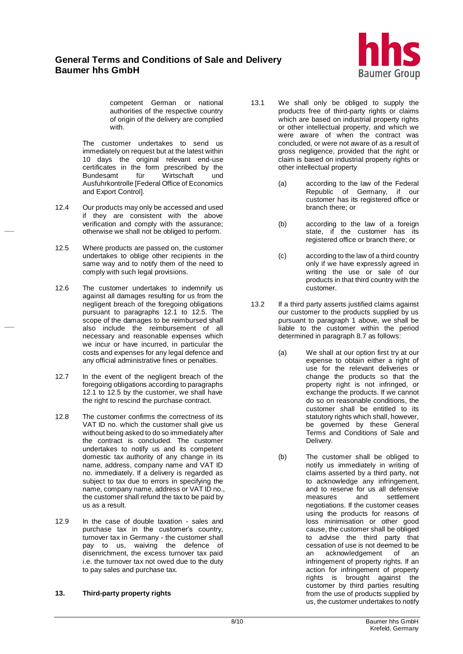

competent German or national authorities of the respective country of origin of the delivery are complied with.

The customer undertakes to send us immediately on request but at the latest within 10 days the original relevant end-use certificates in the form prescribed by the<br>Bundesamt für Wirtschaft und Bundesamt Ausfuhrkontrolle [Federal Office of Economics and Export Control].

- 12.4 Our products may only be accessed and used if they are consistent with the above verification and comply with the assurance; otherwise we shall not be obliged to perform.
- 12.5 Where products are passed on, the customer undertakes to oblige other recipients in the same way and to notify them of the need to comply with such legal provisions.
- 12.6 The customer undertakes to indemnify us against all damages resulting for us from the negligent breach of the foregoing obligations pursuant to paragraphs 12.1 to 12.5. The scope of the damages to be reimbursed shall also include the reimbursement of all necessary and reasonable expenses which we incur or have incurred, in particular the costs and expenses for any legal defence and any official administrative fines or penalties.
- 12.7 In the event of the negligent breach of the foregoing obligations according to paragraphs 12.1 to 12.5 by the customer, we shall have the right to rescind the purchase contract.
- 12.8 The customer confirms the correctness of its VAT ID no. which the customer shall give us without being asked to do so immediately after the contract is concluded. The customer undertakes to notify us and its competent domestic tax authority of any change in its name, address, company name and VAT ID no. immediately. If a delivery is regarded as subject to tax due to errors in specifying the name, company name, address or VAT ID no., the customer shall refund the tax to be paid by us as a result.
- 12.9 In the case of double taxation sales and purchase tax in the customer's country, turnover tax in Germany - the customer shall pay to us, waiving the defence of disenrichment, the excess turnover tax paid i.e. the turnover tax not owed due to the duty to pay sales and purchase tax.

## **13. Third-party property rights**

- 13.1 We shall only be obliged to supply the products free of third-party rights or claims which are based on industrial property rights or other intellectual property, and which we were aware of when the contract was concluded, or were not aware of as a result of gross negligence, provided that the right or claim is based on industrial property rights or other intellectual property
	- (a) according to the law of the Federal Republic of Germany, if our customer has its registered office or branch there; or
	- (b) according to the law of a foreign state, if the customer has its registered office or branch there; or
	- (c) according to the law of a third country only if we have expressly agreed in writing the use or sale of our products in that third country with the customer.
- 13.2 If a third party asserts justified claims against our customer to the products supplied by us pursuant to paragraph 1 above, we shall be liable to the customer within the period determined in paragraph 8.7 as follows:
	- (a) We shall at our option first try at our expense to obtain either a right of use for the relevant deliveries or change the products so that the property right is not infringed, or exchange the products. If we cannot do so on reasonable conditions, the customer shall be entitled to its statutory rights which shall, however, be governed by these General Terms and Conditions of Sale and Delivery.
	- (b) The customer shall be obliged to notify us immediately in writing of claims asserted by a third party, not to acknowledge any infringement, and to reserve for us all defensive<br>measures and settlement settlement negotiations. If the customer ceases using the products for reasons of loss minimisation or other good cause, the customer shall be obliged to advise the third party that cessation of use is not deemed to be an acknowledgement of an infringement of property rights. If an action for infringement of property rights is brought against the customer by third parties resulting from the use of products supplied by us, the customer undertakes to notify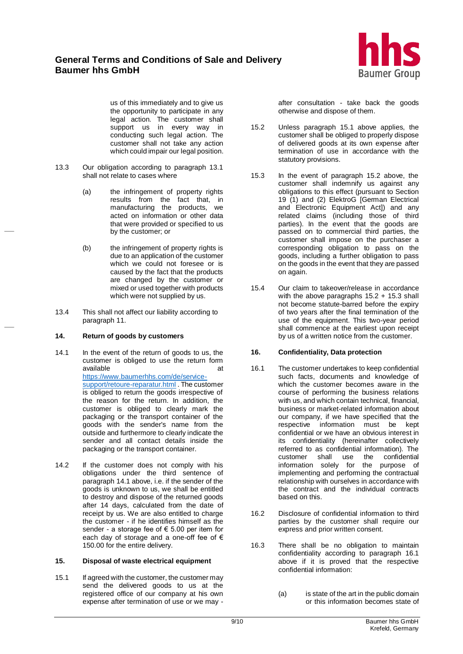

us of this immediately and to give us the opportunity to participate in any legal action. The customer shall support us in every way in conducting such legal action. The customer shall not take any action which could impair our legal position.

- 13.3 Our obligation according to paragraph 13.1 shall not relate to cases where
	- (a) the infringement of property rights results from the fact that, in manufacturing the products, we acted on information or other data that were provided or specified to us by the customer; or
	- (b) the infringement of property rights is due to an application of the customer which we could not foresee or is caused by the fact that the products are changed by the customer or mixed or used together with products which were not supplied by us.
- 13.4 This shall not affect our liability according to paragraph 11.

### **14. Return of goods by customers**

- 14.1 In the event of the return of goods to us, the customer is obliged to use the return form available at a state at a state at a state at a state at a state at a state at a state at a state at a state a [https://www.baumerhhs.com/de/service](https://www.baumerhhs.com/de/service-support/retoure-reparatur.html)[support/retoure-reparatur.html](https://www.baumerhhs.com/de/service-support/retoure-reparatur.html) . The customer is obliged to return the goods irrespective of the reason for the return. In addition, the customer is obliged to clearly mark the packaging or the transport container of the goods with the sender's name from the outside and furthermore to clearly indicate the sender and all contact details inside the packaging or the transport container.
- 14.2 If the customer does not comply with his obligations under the third sentence of paragraph 14.1 above, i.e. if the sender of the goods is unknown to us, we shall be entitled to destroy and dispose of the returned goods after 14 days, calculated from the date of receipt by us. We are also entitled to charge the customer - if he identifies himself as the sender - a storage fee of € 5.00 per item for each day of storage and a one-off fee of € 150.00 for the entire delivery.

### **15. Disposal of waste electrical equipment**

15.1 If agreed with the customer, the customer may send the delivered goods to us at the registered office of our company at his own expense after termination of use or we may -

after consultation - take back the goods otherwise and dispose of them.

- 15.2 Unless paragraph 15.1 above applies, the customer shall be obliged to properly dispose of delivered goods at its own expense after termination of use in accordance with the statutory provisions.
- 15.3 In the event of paragraph 15.2 above, the customer shall indemnify us against any obligations to this effect (pursuant to Section 19 (1) and (2) ElektroG [German Electrical and Electronic Equipment Act]) and any related claims (including those of third parties). In the event that the goods are passed on to commercial third parties, the customer shall impose on the purchaser a corresponding obligation to pass on the goods, including a further obligation to pass on the goods in the event that they are passed on again.
- 15.4 Our claim to takeover/release in accordance with the above paragraphs  $15.2 + 15.3$  shall not become statute-barred before the expiry of two years after the final termination of the use of the equipment. This two-year period shall commence at the earliest upon receipt by us of a written notice from the customer.

## **16. Confidentiality, Data protection**

- 16.1 The customer undertakes to keep confidential such facts, documents and knowledge of which the customer becomes aware in the course of performing the business relations with us, and which contain technical, financial, business or market-related information about our company, if we have specified that the respective information must be kept confidential or we have an obvious interest in its confidentiality (hereinafter collectively referred to as confidential information). The customer shall use the confidential information solely for the purpose of implementing and performing the contractual relationship with ourselves in accordance with the contract and the individual contracts based on this.
- 16.2 Disclosure of confidential information to third parties by the customer shall require our express and prior written consent.
- 16.3 There shall be no obligation to maintain confidentiality according to paragraph 16.1 above if it is proved that the respective confidential information:
	- (a) is state of the art in the public domain or this information becomes state of